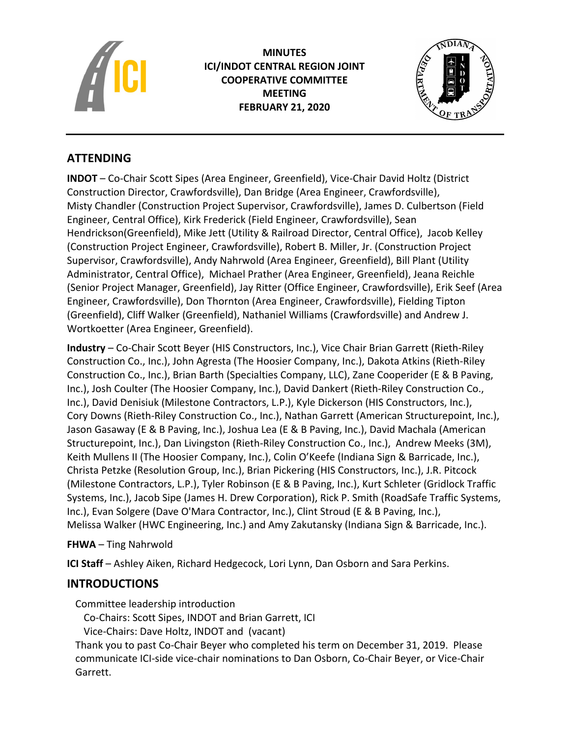

**MINUTES ICI/INDOT CENTRAL REGION JOINT COOPERATIVE COMMITTEE MEETING FEBRUARY 21, 2020**



# **ATTENDING**

**INDOT** – Co-Chair Scott Sipes (Area Engineer, Greenfield), Vice-Chair David Holtz (District Construction Director, Crawfordsville), Dan Bridge (Area Engineer, Crawfordsville), Misty Chandler (Construction Project Supervisor, Crawfordsville), James D. Culbertson (Field Engineer, Central Office), Kirk Frederick (Field Engineer, Crawfordsville), Sean Hendrickson(Greenfield), Mike Jett (Utility & Railroad Director, Central Office), Jacob Kelley (Construction Project Engineer, Crawfordsville), Robert B. Miller, Jr. (Construction Project Supervisor, Crawfordsville), Andy Nahrwold (Area Engineer, Greenfield), Bill Plant (Utility Administrator, Central Office), Michael Prather (Area Engineer, Greenfield), Jeana Reichle (Senior Project Manager, Greenfield), Jay Ritter (Office Engineer, Crawfordsville), Erik Seef (Area Engineer, Crawfordsville), Don Thornton (Area Engineer, Crawfordsville), Fielding Tipton (Greenfield), Cliff Walker (Greenfield), Nathaniel Williams (Crawfordsville) and Andrew J. Wortkoetter (Area Engineer, Greenfield).

**Industry** – Co-Chair Scott Beyer (HIS Constructors, Inc.), Vice Chair Brian Garrett (Rieth-Riley Construction Co., Inc.), John Agresta (The Hoosier Company, Inc.), Dakota Atkins (Rieth-Riley Construction Co., Inc.), Brian Barth (Specialties Company, LLC), Zane Cooperider (E & B Paving, Inc.), Josh Coulter (The Hoosier Company, Inc.), David Dankert (Rieth-Riley Construction Co., Inc.), David Denisiuk (Milestone Contractors, L.P.), Kyle Dickerson (HIS Constructors, Inc.), Cory Downs (Rieth-Riley Construction Co., Inc.), Nathan Garrett (American Structurepoint, Inc.), Jason Gasaway (E & B Paving, Inc.), Joshua Lea (E & B Paving, Inc.), David Machala (American Structurepoint, Inc.), Dan Livingston (Rieth-Riley Construction Co., Inc.), Andrew Meeks (3M), Keith Mullens II (The Hoosier Company, Inc.), Colin O'Keefe (Indiana Sign & Barricade, Inc.), Christa Petzke (Resolution Group, Inc.), Brian Pickering (HIS Constructors, Inc.), J.R. Pitcock (Milestone Contractors, L.P.), Tyler Robinson (E & B Paving, Inc.), Kurt Schleter (Gridlock Traffic Systems, Inc.), Jacob Sipe (James H. Drew Corporation), Rick P. Smith (RoadSafe Traffic Systems, Inc.), Evan Solgere (Dave O'Mara Contractor, Inc.), Clint Stroud (E & B Paving, Inc.), Melissa Walker (HWC Engineering, Inc.) and Amy Zakutansky (Indiana Sign & Barricade, Inc.).

# **FHWA** – Ting Nahrwold

**ICI Staff** – Ashley Aiken, Richard Hedgecock, Lori Lynn, Dan Osborn and Sara Perkins.

# **INTRODUCTIONS**

Committee leadership introduction

Co-Chairs: Scott Sipes, INDOT and Brian Garrett, ICI

Vice-Chairs: Dave Holtz, INDOT and (vacant)

Thank you to past Co-Chair Beyer who completed his term on December 31, 2019. Please communicate ICI-side vice-chair nominations to Dan Osborn, Co-Chair Beyer, or Vice-Chair Garrett.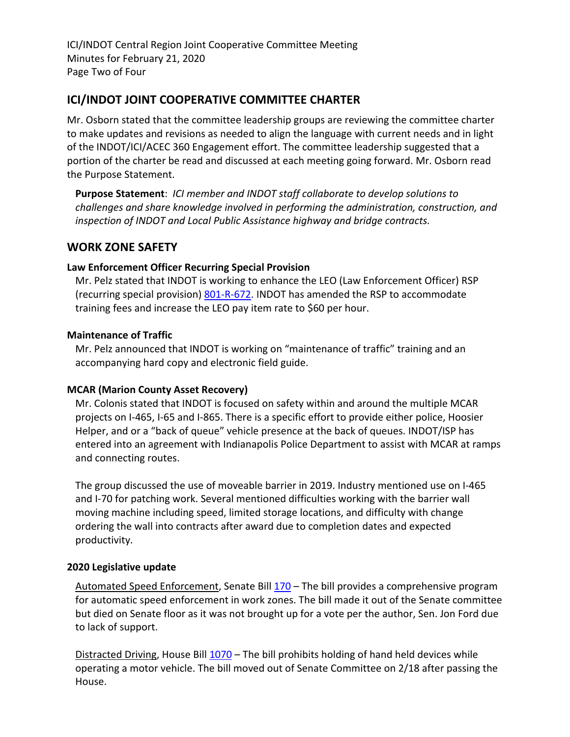ICI/INDOT Central Region Joint Cooperative Committee Meeting Minutes for February 21, 2020 Page Two of Four

# **ICI/INDOT JOINT COOPERATIVE COMMITTEE CHARTER**

Mr. Osborn stated that the committee leadership groups are reviewing the committee charter to make updates and revisions as needed to align the language with current needs and in light of the INDOT/ICI/ACEC 360 Engagement effort. The committee leadership suggested that a portion of the charter be read and discussed at each meeting going forward. Mr. Osborn read the Purpose Statement.

**Purpose Statement**: *ICI member and INDOT staff collaborate to develop solutions to challenges and share knowledge involved in performing the administration, construction, and inspection of INDOT and Local Public Assistance highway and bridge contracts.* 

# **WORK ZONE SAFETY**

### **Law Enforcement Officer Recurring Special Provision**

Mr. Pelz stated that INDOT is working to enhance the LEO (Law Enforcement Officer) RSP (recurring special provision) [801-R-672.](https://www.in.gov/dot/div/contracts/standards/rsp/sep19/800/801-R-672%20200601.pdf) INDOT has amended the RSP to accommodate training fees and increase the LEO pay item rate to \$60 per hour.

### **Maintenance of Traffic**

Mr. Pelz announced that INDOT is working on "maintenance of traffic" training and an accompanying hard copy and electronic field guide.

### **MCAR (Marion County Asset Recovery)**

Mr. Colonis stated that INDOT is focused on safety within and around the multiple MCAR projects on I-465, I-65 and I-865. There is a specific effort to provide either police, Hoosier Helper, and or a "back of queue" vehicle presence at the back of queues. INDOT/ISP has entered into an agreement with Indianapolis Police Department to assist with MCAR at ramps and connecting routes.

The group discussed the use of moveable barrier in 2019. Industry mentioned use on I-465 and I-70 for patching work. Several mentioned difficulties working with the barrier wall moving machine including speed, limited storage locations, and difficulty with change ordering the wall into contracts after award due to completion dates and expected productivity.

### **2020 Legislative update**

Automated Speed Enforcement, Senate Bill [170](http://iga.in.gov/legislative/2020/bills/senate/170) – The bill provides a comprehensive program for automatic speed enforcement in work zones. The bill made it out of the Senate committee but died on Senate floor as it was not brought up for a vote per the author, Sen. Jon Ford due to lack of support.

Distracted Driving, House Bill [1070](http://iga.in.gov/legislative/2020/bills/house/1070#document-53b25a16) - The bill prohibits holding of hand held devices while operating a motor vehicle. The bill moved out of Senate Committee on 2/18 after passing the House.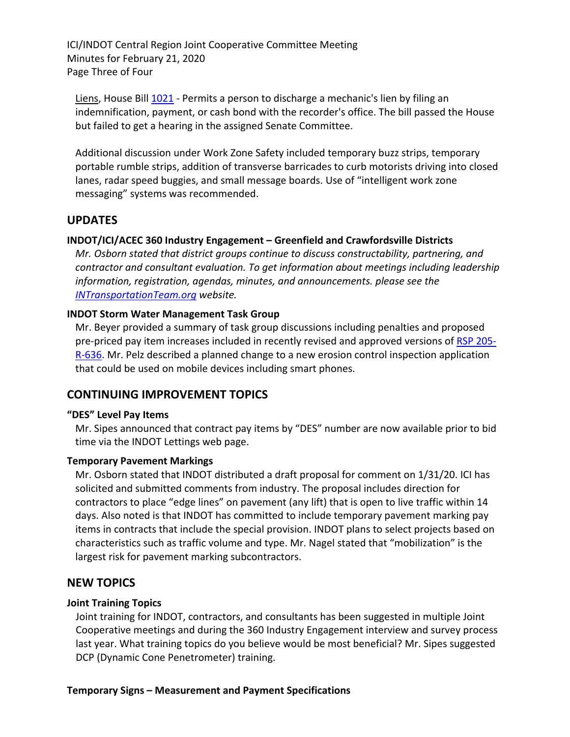ICI/INDOT Central Region Joint Cooperative Committee Meeting Minutes for February 21, 2020 Page Three of Four

Liens, House Bill [1021](http://iga.in.gov/legislative/2020/bills/house/1021) - Permits a person to discharge a mechanic's lien by filing an indemnification, payment, or cash bond with the recorder's office. The bill passed the House but failed to get a hearing in the assigned Senate Committee.

Additional discussion under Work Zone Safety included temporary buzz strips, temporary portable rumble strips, addition of transverse barricades to curb motorists driving into closed lanes, radar speed buggies, and small message boards. Use of "intelligent work zone messaging" systems was recommended.

### **UPDATES**

### **INDOT/ICI/ACEC 360 Industry Engagement – Greenfield and Crawfordsville Districts**

*Mr. Osborn stated that district groups continue to discuss constructability, partnering, and contractor and consultant evaluation. To get information about meetings including leadership information, registration, agendas, minutes, and announcements. please see the [INTransportationTeam.org](http://www.indianatransportationteam.org/) website.*

### **INDOT Storm Water Management Task Group**

Mr. Beyer provided a summary of task group discussions including penalties and proposed pre-priced pay item increases included in recently revised and approved versions of [RSP 205-](https://www.in.gov/dot/div/contracts/standards/sc/2020/jan/SC_Approved%20Minutes%20200116.pdf) [R-636.](https://www.in.gov/dot/div/contracts/standards/sc/2020/jan/SC_Approved%20Minutes%20200116.pdf) Mr. Pelz described a planned change to a new erosion control inspection application that could be used on mobile devices including smart phones.

### **CONTINUING IMPROVEMENT TOPICS**

### **"DES" Level Pay Items**

Mr. Sipes announced that contract pay items by "DES" number are now available prior to bid time via the INDOT Lettings web page.

#### **Temporary Pavement Markings**

Mr. Osborn stated that INDOT distributed a draft proposal for comment on 1/31/20. ICI has solicited and submitted comments from industry. The proposal includes direction for contractors to place "edge lines" on pavement (any lift) that is open to live traffic within 14 days. Also noted is that INDOT has committed to include temporary pavement marking pay items in contracts that include the special provision. INDOT plans to select projects based on characteristics such as traffic volume and type. Mr. Nagel stated that "mobilization" is the largest risk for pavement marking subcontractors.

### **NEW TOPICS**

### **Joint Training Topics**

Joint training for INDOT, contractors, and consultants has been suggested in multiple Joint Cooperative meetings and during the 360 Industry Engagement interview and survey process last year. What training topics do you believe would be most beneficial? Mr. Sipes suggested DCP (Dynamic Cone Penetrometer) training.